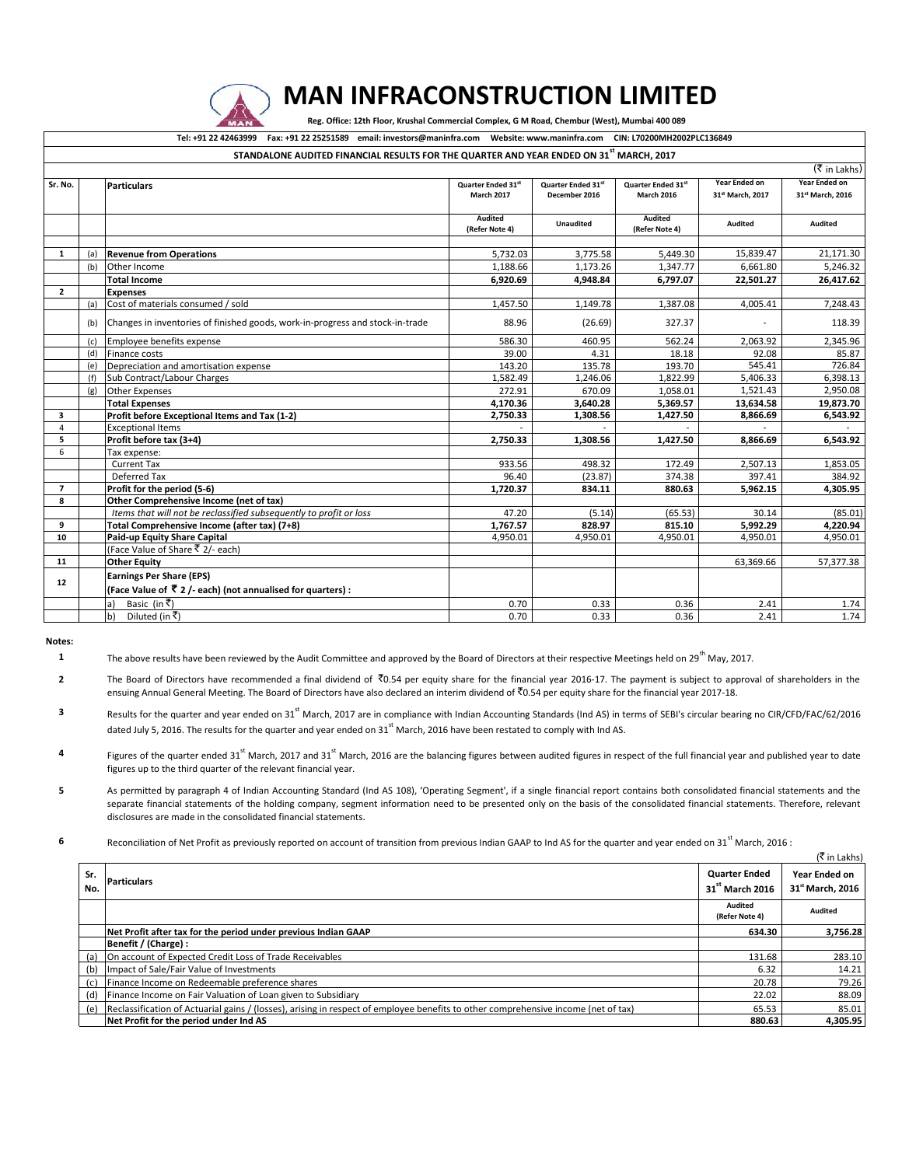

## **MAN INFRACONSTRUCTION LIMITED**

 **Reg. Office: 12th Floor, Krushal Commercial Complex, G M Road, Chembur (West), Mumbai 400 089**

**Tel: +91 22 42463999 Fax: +91 22 25251589 email: investors@maninfra.com Website: www.maninfra.com CIN: L70200MH2002PLC136849**

|                   |     | STANDALONE AUDITED FINANCIAL RESULTS FOR THE QUARTER AND YEAR ENDED ON 31 <sup>st</sup> MARCH, 2017 |                    |                    |                    |                      |                              |
|-------------------|-----|-----------------------------------------------------------------------------------------------------|--------------------|--------------------|--------------------|----------------------|------------------------------|
|                   |     |                                                                                                     |                    |                    |                    |                      | (₹ in Lakhs)                 |
| Sr. No.           |     | <b>Particulars</b>                                                                                  | Quarter Ended 31st | Quarter Ended 31st | Quarter Ended 31st | <b>Year Ended on</b> | Year Ended on                |
|                   |     |                                                                                                     | <b>March 2017</b>  | December 2016      | <b>March 2016</b>  | 31st March, 2017     | 31 <sup>st</sup> March, 2016 |
|                   |     |                                                                                                     | Audited            | <b>Unaudited</b>   | <b>Audited</b>     | Audited              | <b>Audited</b>               |
|                   |     |                                                                                                     | (Refer Note 4)     |                    | (Refer Note 4)     |                      |                              |
| 1                 | (a) | <b>Revenue from Operations</b>                                                                      | 5,732.03           | 3,775.58           | 5,449.30           | 15,839.47            | 21,171.30                    |
|                   | (b) | Other Income                                                                                        | 1,188.66           | 1,173.26           | 1,347.77           | 6,661.80             | 5,246.32                     |
|                   |     | <b>Total Income</b>                                                                                 | 6.920.69           | 4,948.84           | 6,797.07           | 22,501.27            | 26,417.62                    |
| $\overline{2}$    |     | <b>Expenses</b>                                                                                     |                    |                    |                    |                      |                              |
|                   | (a) | Cost of materials consumed / sold                                                                   | 1,457.50           | 1,149.78           | 1,387.08           | 4,005.41             | 7,248.43                     |
|                   | (b) | Changes in inventories of finished goods, work-in-progress and stock-in-trade                       | 88.96              | (26.69)            | 327.37             |                      | 118.39                       |
|                   | (c) | Employee benefits expense                                                                           | 586.30             | 460.95             | 562.24             | 2,063.92             | 2,345.96                     |
|                   | (d) | <b>Finance costs</b>                                                                                | 39.00              | 4.31               | 18.18              | 92.08                | 85.87                        |
|                   | (e) | Depreciation and amortisation expense                                                               | 143.20             | 135.78             | 193.70             | 545.41               | 726.84                       |
|                   | (f) | Sub Contract/Labour Charges                                                                         | 1,582.49           | 1,246.06           | 1,822.99           | 5,406.33             | 6,398.13                     |
|                   | (g) | <b>Other Expenses</b>                                                                               | 272.91             | 670.09             | 1,058.01           | 1,521.43             | 2,950.08                     |
|                   |     | <b>Total Expenses</b>                                                                               | 4,170.36           | 3,640.28           | 5,369.57           | 13,634.58            | 19,873.70                    |
| 3                 |     | Profit before Exceptional Items and Tax (1-2)                                                       | 2,750.33           | 1,308.56           | 1,427.50           | 8,866.69             | 6,543.92                     |
| 4                 |     | <b>Exceptional Items</b>                                                                            |                    |                    |                    |                      |                              |
| 5                 |     | Profit before tax (3+4)                                                                             | 2,750.33           | 1,308.56           | 1,427.50           | 8,866.69             | 6,543.92                     |
| 6                 |     | Tax expense:                                                                                        |                    |                    |                    |                      |                              |
|                   |     | <b>Current Tax</b>                                                                                  | 933.56             | 498.32             | 172.49             | 2,507.13             | 1,853.05                     |
|                   |     | Deferred Tax                                                                                        | 96.40              | (23.87)            | 374.38             | 397.41               | 384.92                       |
| $\overline{7}$    |     | Profit for the period (5-6)                                                                         | 1.720.37           | 834.11             | 880.63             | 5.962.15             | 4.305.95                     |
| 8                 |     | <b>Other Comprehensive Income (net of tax)</b>                                                      |                    |                    |                    |                      |                              |
|                   |     | Items that will not be reclassified subsequently to profit or loss                                  | 47.20              | (5.14)             | (65.53)            | 30.14                | (85.01)                      |
| 9                 |     | Total Comprehensive Income (after tax) (7+8)                                                        | 1,767.57           | 828.97             | 815.10             | 5,992.29             | 4,220.94                     |
| 10                |     | Paid-up Equity Share Capital                                                                        | 4.950.01           | 4,950.01           | 4,950.01           | 4,950.01             | 4,950.01                     |
|                   |     | (Face Value of Share ₹ 2/- each)                                                                    |                    |                    |                    |                      |                              |
| 11                |     | <b>Other Equity</b>                                                                                 |                    |                    |                    | 63,369.66            | 57,377.38                    |
| $12 \overline{ }$ |     | <b>Earnings Per Share (EPS)</b>                                                                     |                    |                    |                    |                      |                              |
|                   |     | (Face Value of ₹ 2 /- each) (not annualised for quarters) :                                         |                    |                    |                    |                      |                              |
|                   |     | Basic (in ₹)<br>la)                                                                                 | 0.70               | 0.33               | 0.36               | 2.41                 | 1.74                         |
|                   |     | Diluted (in ₹)<br>b)                                                                                | 0.70               | 0.33               | 0.36               | 2.41                 | 1.74                         |

**Notes:**

**1** The above results have been reviewed by the Audit Committee and approved by the Board of Directors at their respective Meetings held on 29<sup>th</sup> May, 2017.

**2** The Board of Directors have recommended a final dividend of ₹0.54 per equity share for the financial year 2016-17. The payment is subject to approval of shareholders in the ensuing Annual General Meeting. The Board of Directors have also declared an interim dividend of  $\bar{x}$ 0.54 per equity share for the financial year 2017-18.

- **3** Results for the quarter and year ended on 31<sup>st</sup> March, 2017 are in compliance with Indian Accounting Standards (Ind AS) in terms of SEBI's circular bearing no CIR/CFD/FAC/62/2016 dated July 5, 2016. The results for the quarter and year ended on  $31<sup>st</sup>$  March, 2016 have been restated to comply with Ind AS.
- **4** Figures of the quarter ended 31<sup>st</sup> March, 2017 and 31<sup>st</sup> March, 2016 are the balancing figures between audited figures in respect of the full financial year and published year to date figures up to the third quarter of the relevant financial year.
- **5** As permitted by paragraph 4 of Indian Accounting Standard (Ind AS 108), 'Operating Segment', if a single financial report contains both consolidated financial statements and the separate financial statements of the holding company, segment information need to be presented only on the basis of the consolidated financial statements. Therefore, relevant disclosures are made in the consolidated financial statements.

**6** Reconciliation of Net Profit as previously reported on account of transition from previous Indian GAAP to Ind AS for the quarter and year ended on 31<sup>st</sup> March, 2016 :

|            |                                                                                                                                    |                                                     | (₹ in Lakhs)                      |
|------------|------------------------------------------------------------------------------------------------------------------------------------|-----------------------------------------------------|-----------------------------------|
| Sr.<br>No. | <b>Particulars</b>                                                                                                                 | <b>Quarter Ended</b><br>31 <sup>st</sup> March 2016 | Year Ended on<br>31st March, 2016 |
|            |                                                                                                                                    | Audited<br>(Refer Note 4)                           | <b>Audited</b>                    |
|            | Net Profit after tax for the period under previous Indian GAAP                                                                     | 634.30                                              | 3.756.28                          |
|            | Benefit / (Charge) :                                                                                                               |                                                     |                                   |
| (a)        | On account of Expected Credit Loss of Trade Receivables                                                                            | 131.68                                              | 283.10                            |
| (b)        | Impact of Sale/Fair Value of Investments                                                                                           | 6.32                                                | 14.21                             |
| (c)        | Finance Income on Redeemable preference shares                                                                                     | 20.78                                               | 79.26                             |
| (d)        | Finance Income on Fair Valuation of Loan given to Subsidiary                                                                       | 22.02                                               | 88.09                             |
| (e)        | Reclassification of Actuarial gains / (losses), arising in respect of employee benefits to other comprehensive income (net of tax) | 65.53                                               | 85.01                             |
|            | Net Profit for the period under Ind AS                                                                                             | 880.63                                              | 4,305.95                          |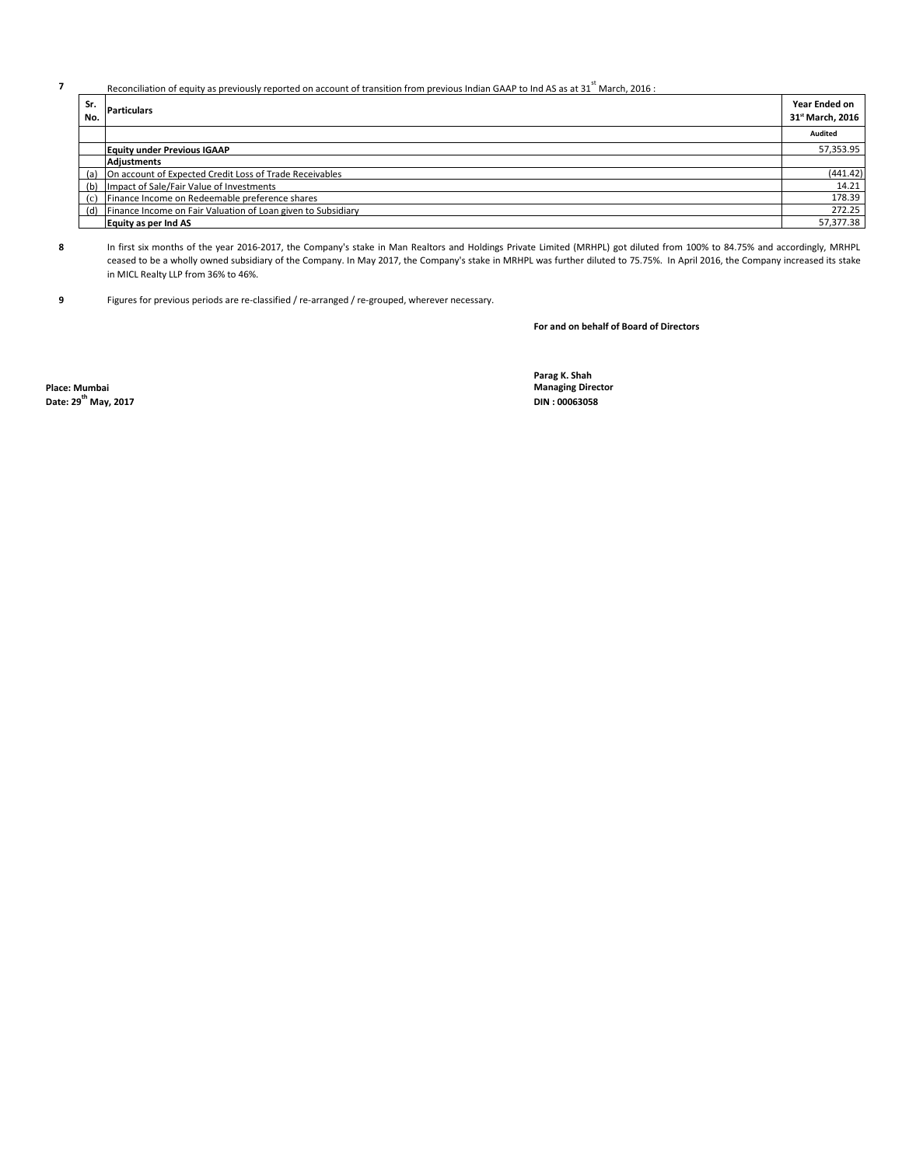## **7** Reconciliation of equity as previously reported on account of transition from previous Indian GAAP to Ind AS as at 31<sup>st</sup> March, 2016 :

| Sr.<br>No. | <b>Particulars</b>                                               | Year Ended on<br>31 <sup>st</sup> March, 2016 |
|------------|------------------------------------------------------------------|-----------------------------------------------|
|            |                                                                  | Audited                                       |
|            | <b>Equity under Previous IGAAP</b>                               | 57,353.95                                     |
|            | Adiustments                                                      |                                               |
|            | (a) On account of Expected Credit Loss of Trade Receivables      | (441.42)                                      |
|            | (b) Impact of Sale/Fair Value of Investments                     | 14.21                                         |
| (c)        | Finance Income on Redeemable preference shares                   | 178.39                                        |
|            | (d) Finance Income on Fair Valuation of Loan given to Subsidiary | 272.25                                        |
|            | Equity as per Ind AS                                             | 57,377.38                                     |

**8** In first six months of the year 2016-2017, the Company's stake in Man Realtors and Holdings Private Limited (MRHPL) got diluted from 100% to 84.75% and accordingly, MRHPL ceased to be a wholly owned subsidiary ofthe Company. In May 2017, the Company's stake in MRHPL was further diluted to 75.75%. In April2016, the Company increased its stake in MICL Realty LLP from 36% to 46%.

**9** Figures for previous periods are re-classified / re-arranged / re-grouped, wherever necessary.

**For and on behalf of Board of Directors**

**Place: Mumbai Managing Director Date: 29<sup>th</sup> May, 2017** 

**Parag K. Shah**